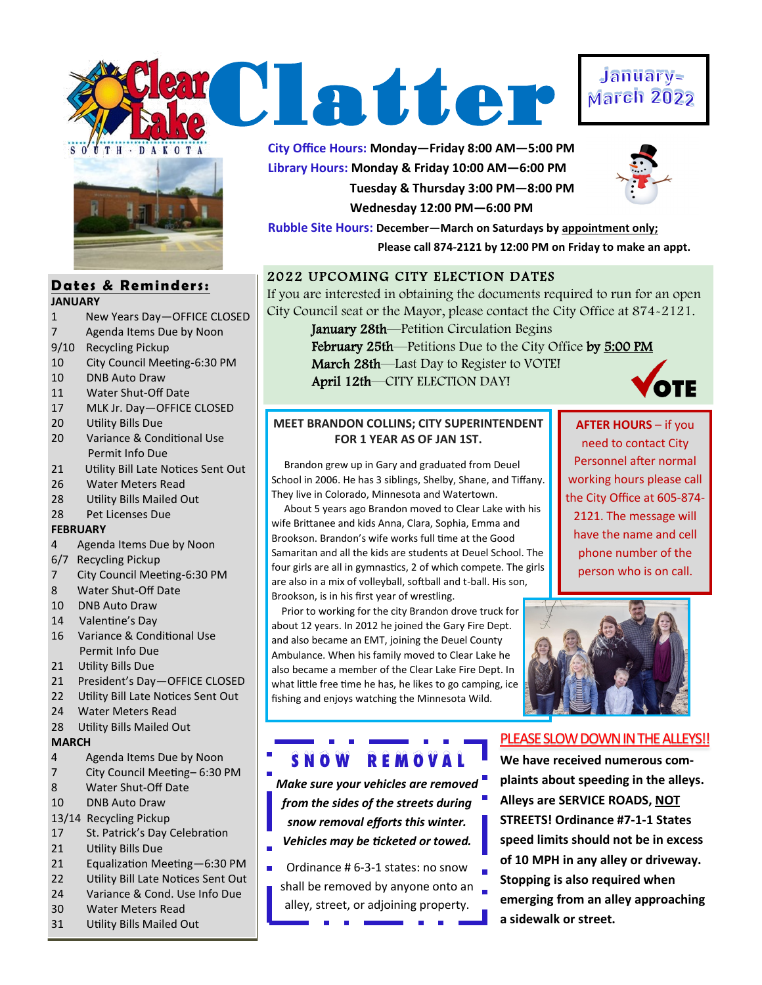



#### **Dates & Reminders: JANUARY**

- 1 New Years Day—OFFICE CLOSED
- 7 Agenda Items Due by Noon
- 9/10 Recycling Pickup
- 10 City Council Meeting-6:30 PM
- 10 DNB Auto Draw
- 11 Water Shut-Off Date
- 17 MLK Jr. Day—OFFICE CLOSED
- 20 Utility Bills Due
- 20 Variance & Conditional Use Permit Info Due
- 21 Utility Bill Late Notices Sent Out
- 26 Water Meters Read
- 28 Utility Bills Mailed Out
- 28 Pet Licenses Due

### **FEBRUARY**

- 4 Agenda Items Due by Noon
- 6/7 Recycling Pickup
- 7 City Council Meeting-6:30 PM
- 8 Water Shut-Off Date
- 10 DNB Auto Draw
- 14 Valentine's Day
- 16 Variance & Conditional Use Permit Info Due
- 21 Utility Bills Due
- 21 President's Day—OFFICE CLOSED
- 22 Utility Bill Late Notices Sent Out
- 24 Water Meters Read
- 28 Utility Bills Mailed Out

#### **MARCH**

- 4 Agenda Items Due by Noon
- 7 City Council Meeting– 6:30 PM
- 8 Water Shut-Off Date
- 10 DNB Auto Draw
- 13/14 Recycling Pickup
- 17 St. Patrick's Day Celebration
- 21 Utility Bills Due
- 21 Equalization Meeting—6:30 PM
- 22 Utility Bill Late Notices Sent Out
- 24 Variance & Cond. Use Info Due
- 30 Water Meters Read
- 31 Utility Bills Mailed Out

**City Office Hours: Monday—Friday 8:00 AM—5:00 PM Library Hours: Monday & Friday 10:00 AM—6:00 PM Tuesday & Thursday 3:00 PM—8:00 PM Wednesday 12:00 PM—6:00 PM**



**Rubble Site Hours: December—March on Saturdays by appointment only; Please call 874-2121 by 12:00 PM on Friday to make an appt.**

## 2022 UPCOMING CITY ELECTION DATES

If you are interested in obtaining the documents required to run for an open City Council seat or the Mayor, please contact the City Office at 874-2121.

> January 28th—Petition Circulation Begins February 25th—Petitions Due to the City Office by 5:00 PM

> March 28th—Last Day to Register to VOTE! April 12th—CITY ELECTION DAY!



## **MEET BRANDON COLLINS; CITY SUPERINTENDENT FOR 1 YEAR AS OF JAN 1ST.**

 Brandon grew up in Gary and graduated from Deuel School in 2006. He has 3 siblings, Shelby, Shane, and Tiffany. They live in Colorado, Minnesota and Watertown.

 About 5 years ago Brandon moved to Clear Lake with his wife Brittanee and kids Anna, Clara, Sophia, Emma and Brookson. Brandon's wife works full time at the Good Samaritan and all the kids are students at Deuel School. The four girls are all in gymnastics, 2 of which compete. The girls are also in a mix of volleyball, softball and t-ball. His son, Brookson, is in his first year of wrestling.

 Prior to working for the city Brandon drove truck for about 12 years. In 2012 he joined the Gary Fire Dept. and also became an EMT, joining the Deuel County Ambulance. When his family moved to Clear Lake he also became a member of the Clear Lake Fire Dept. In what little free time he has, he likes to go camping, ice fishing and enjoys watching the Minnesota Wild.

# S N O W R E M O V A L

*Make sure your vehicles are removed from the sides of the streets during snow removal efforts this winter. Vehicles may be ticketed or towed.* 

- Ordinance # 6-3-1 states: no snow L.
	- shall be removed by anyone onto an alley, street, or adjoining property.

**AFTER HOURS** – if you need to contact City Personnel after normal working hours please call the City Office at 605-874- 2121. The message will have the name and cell phone number of the person who is on call.



## PLEASE SLOW DOWN IN THE ALLEYS!!

**We have received numerous complaints about speeding in the alleys. Alleys are SERVICE ROADS, NOT STREETS! Ordinance #7-1-1 States speed limits should not be in excess of 10 MPH in any alley or driveway. Stopping is also required when emerging from an alley approaching a sidewalk or street.** 

# January-**March 2022**